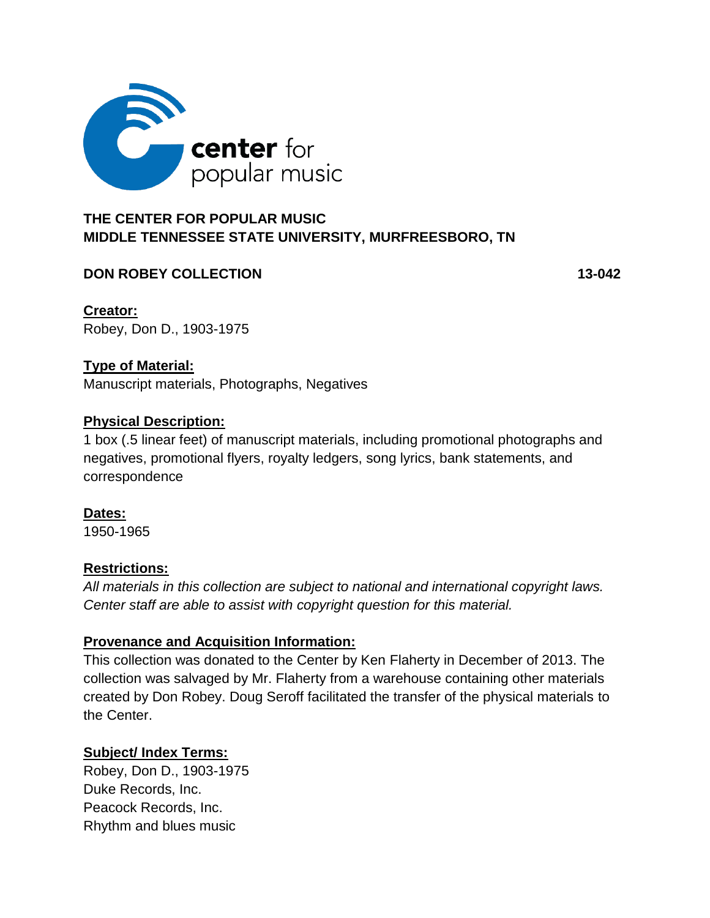

# **MIDDLE TENNESSEE STATE UNIVERSITY, MURFREESBORO, TN**

# **DON ROBEY COLLECTION 43-042**

**Creator:** Robey, Don D., 1903-1975

## **Type of Material:**

Manuscript materials, Photographs, Negatives

#### **Physical Description:**

1 box (.5 linear feet) of manuscript materials, including promotional photographs and negatives, promotional flyers, royalty ledgers, song lyrics, bank statements, and correspondence

**Dates:** 1950-1965

## **Restrictions:**

*All materials in this collection are subject to national and international copyright laws. Center staff are able to assist with copyright question for this material.*

## **Provenance and Acquisition Information:**

This collection was donated to the Center by Ken Flaherty in December of 2013. The collection was salvaged by Mr. Flaherty from a warehouse containing other materials created by Don Robey. Doug Seroff facilitated the transfer of the physical materials to the Center.

## **Subject/ Index Terms:**

Robey, Don D., 1903-1975 Duke Records, Inc. Peacock Records, Inc. Rhythm and blues music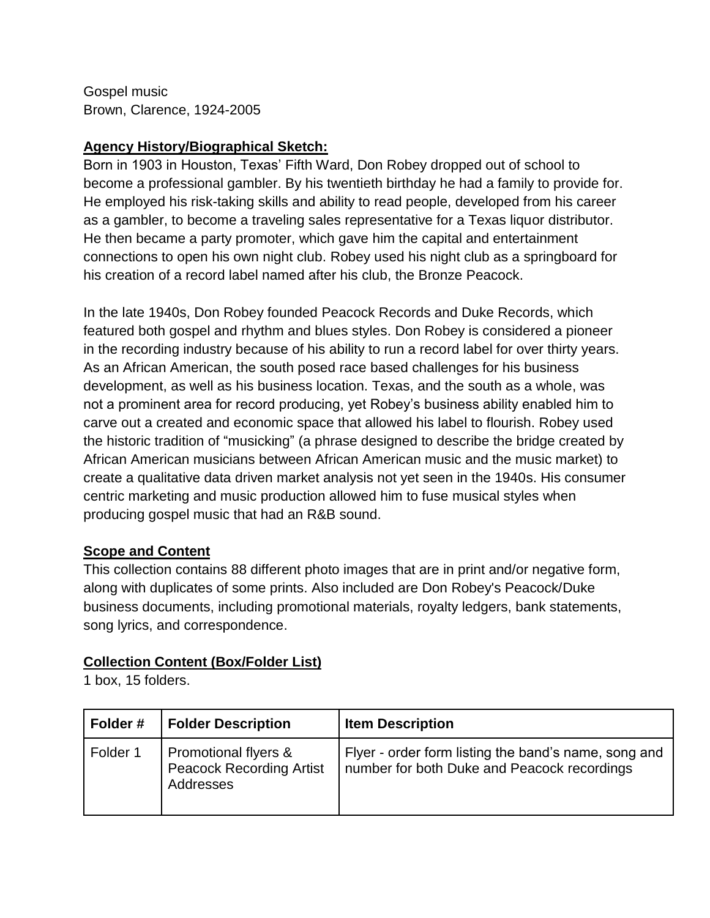Gospel music Brown, Clarence, 1924-2005

# **Agency History/Biographical Sketch:**

Born in 1903 in Houston, Texas' Fifth Ward, Don Robey dropped out of school to become a professional gambler. By his twentieth birthday he had a family to provide for. He employed his risk-taking skills and ability to read people, developed from his career as a gambler, to become a traveling sales representative for a Texas liquor distributor. He then became a party promoter, which gave him the capital and entertainment connections to open his own night club. Robey used his night club as a springboard for his creation of a record label named after his club, the Bronze Peacock.

In the late 1940s, Don Robey founded Peacock Records and Duke Records, which featured both gospel and rhythm and blues styles. Don Robey is considered a pioneer in the recording industry because of his ability to run a record label for over thirty years. As an African American, the south posed race based challenges for his business development, as well as his business location. Texas, and the south as a whole, was not a prominent area for record producing, yet Robey's business ability enabled him to carve out a created and economic space that allowed his label to flourish. Robey used the historic tradition of "musicking" (a phrase designed to describe the bridge created by African American musicians between African American music and the music market) to create a qualitative data driven market analysis not yet seen in the 1940s. His consumer centric marketing and music production allowed him to fuse musical styles when producing gospel music that had an R&B sound.

# **Scope and Content**

This collection contains 88 different photo images that are in print and/or negative form, along with duplicates of some prints. Also included are Don Robey's Peacock/Duke business documents, including promotional materials, royalty ledgers, bank statements, song lyrics, and correspondence.

## **Collection Content (Box/Folder List)**

1 box, 15 folders.

| Folder#  | <b>Folder Description</b>                                            | <b>Item Description</b>                                                                             |
|----------|----------------------------------------------------------------------|-----------------------------------------------------------------------------------------------------|
| Folder 1 | Promotional flyers &<br><b>Peacock Recording Artist</b><br>Addresses | Flyer - order form listing the band's name, song and<br>number for both Duke and Peacock recordings |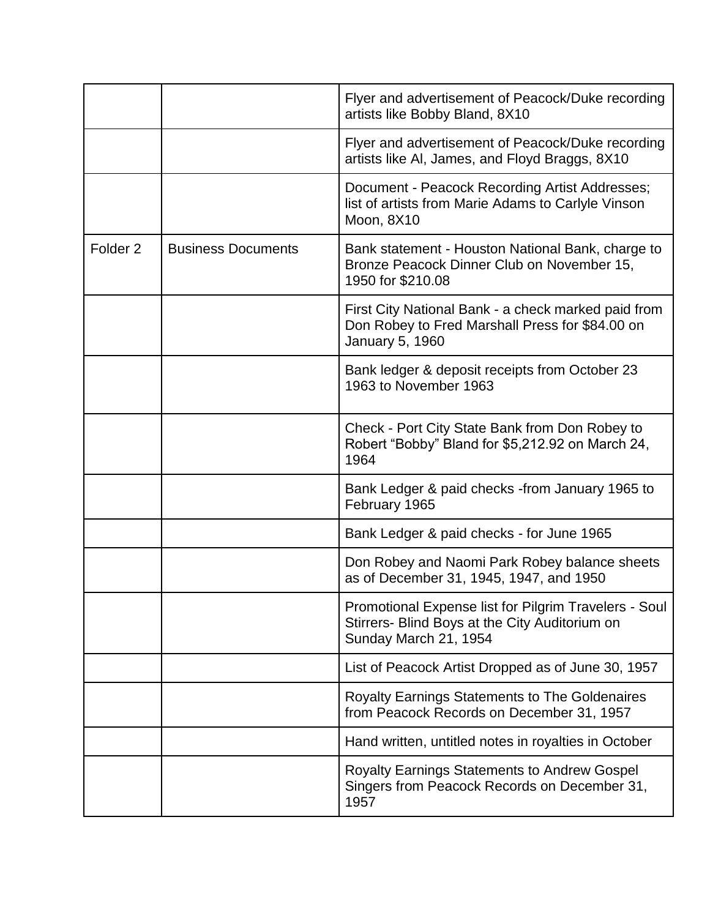|                     |                           | Flyer and advertisement of Peacock/Duke recording<br>artists like Bobby Bland, 8X10                                              |
|---------------------|---------------------------|----------------------------------------------------------------------------------------------------------------------------------|
|                     |                           | Flyer and advertisement of Peacock/Duke recording<br>artists like AI, James, and Floyd Braggs, 8X10                              |
|                     |                           | Document - Peacock Recording Artist Addresses;<br>list of artists from Marie Adams to Carlyle Vinson<br>Moon, 8X10               |
| Folder <sub>2</sub> | <b>Business Documents</b> | Bank statement - Houston National Bank, charge to<br>Bronze Peacock Dinner Club on November 15,<br>1950 for \$210.08             |
|                     |                           | First City National Bank - a check marked paid from<br>Don Robey to Fred Marshall Press for \$84.00 on<br>January 5, 1960        |
|                     |                           | Bank ledger & deposit receipts from October 23<br>1963 to November 1963                                                          |
|                     |                           | Check - Port City State Bank from Don Robey to<br>Robert "Bobby" Bland for \$5,212.92 on March 24,<br>1964                       |
|                     |                           | Bank Ledger & paid checks -from January 1965 to<br>February 1965                                                                 |
|                     |                           | Bank Ledger & paid checks - for June 1965                                                                                        |
|                     |                           | Don Robey and Naomi Park Robey balance sheets<br>as of December 31, 1945, 1947, and 1950                                         |
|                     |                           | Promotional Expense list for Pilgrim Travelers - Soul<br>Stirrers- Blind Boys at the City Auditorium on<br>Sunday March 21, 1954 |
|                     |                           | List of Peacock Artist Dropped as of June 30, 1957                                                                               |
|                     |                           | <b>Royalty Earnings Statements to The Goldenaires</b><br>from Peacock Records on December 31, 1957                               |
|                     |                           | Hand written, untitled notes in royalties in October                                                                             |
|                     |                           | <b>Royalty Earnings Statements to Andrew Gospel</b><br>Singers from Peacock Records on December 31,<br>1957                      |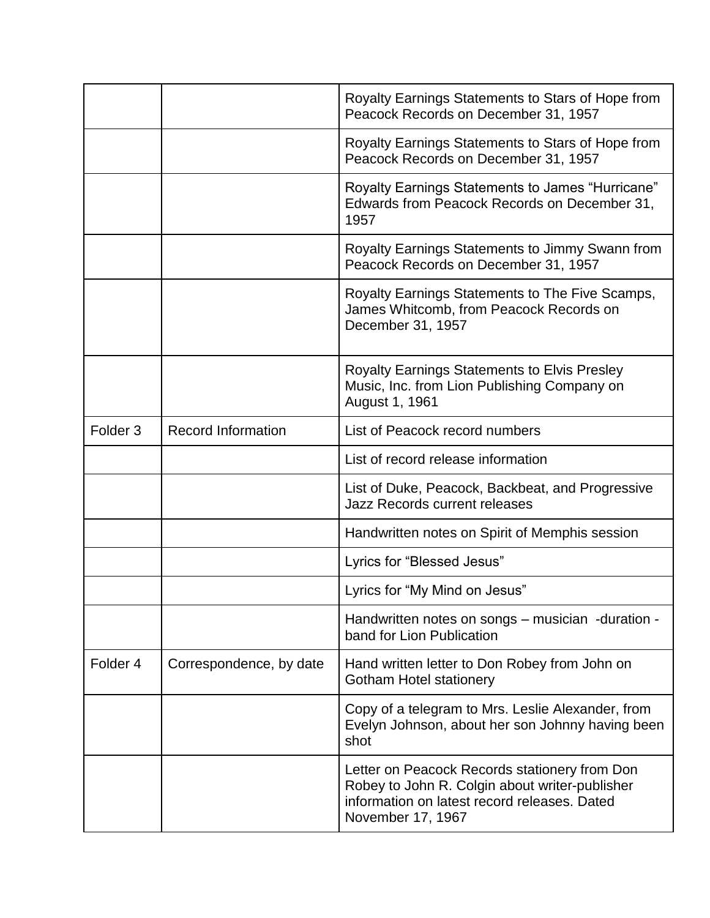|                     |                           | Royalty Earnings Statements to Stars of Hope from<br>Peacock Records on December 31, 1957                                                                            |
|---------------------|---------------------------|----------------------------------------------------------------------------------------------------------------------------------------------------------------------|
|                     |                           | Royalty Earnings Statements to Stars of Hope from<br>Peacock Records on December 31, 1957                                                                            |
|                     |                           | Royalty Earnings Statements to James "Hurricane"<br>Edwards from Peacock Records on December 31,<br>1957                                                             |
|                     |                           | Royalty Earnings Statements to Jimmy Swann from<br>Peacock Records on December 31, 1957                                                                              |
|                     |                           | Royalty Earnings Statements to The Five Scamps,<br>James Whitcomb, from Peacock Records on<br>December 31, 1957                                                      |
|                     |                           | <b>Royalty Earnings Statements to Elvis Presley</b><br>Music, Inc. from Lion Publishing Company on<br>August 1, 1961                                                 |
| Folder <sub>3</sub> | <b>Record Information</b> | List of Peacock record numbers                                                                                                                                       |
|                     |                           | List of record release information                                                                                                                                   |
|                     |                           | List of Duke, Peacock, Backbeat, and Progressive<br><b>Jazz Records current releases</b>                                                                             |
|                     |                           | Handwritten notes on Spirit of Memphis session                                                                                                                       |
|                     |                           | Lyrics for "Blessed Jesus"                                                                                                                                           |
|                     |                           | Lyrics for "My Mind on Jesus"                                                                                                                                        |
|                     |                           | Handwritten notes on songs – musician -duration -<br>band for Lion Publication                                                                                       |
| Folder <sub>4</sub> | Correspondence, by date   | Hand written letter to Don Robey from John on<br><b>Gotham Hotel stationery</b>                                                                                      |
|                     |                           | Copy of a telegram to Mrs. Leslie Alexander, from<br>Evelyn Johnson, about her son Johnny having been<br>shot                                                        |
|                     |                           | Letter on Peacock Records stationery from Don<br>Robey to John R. Colgin about writer-publisher<br>information on latest record releases. Dated<br>November 17, 1967 |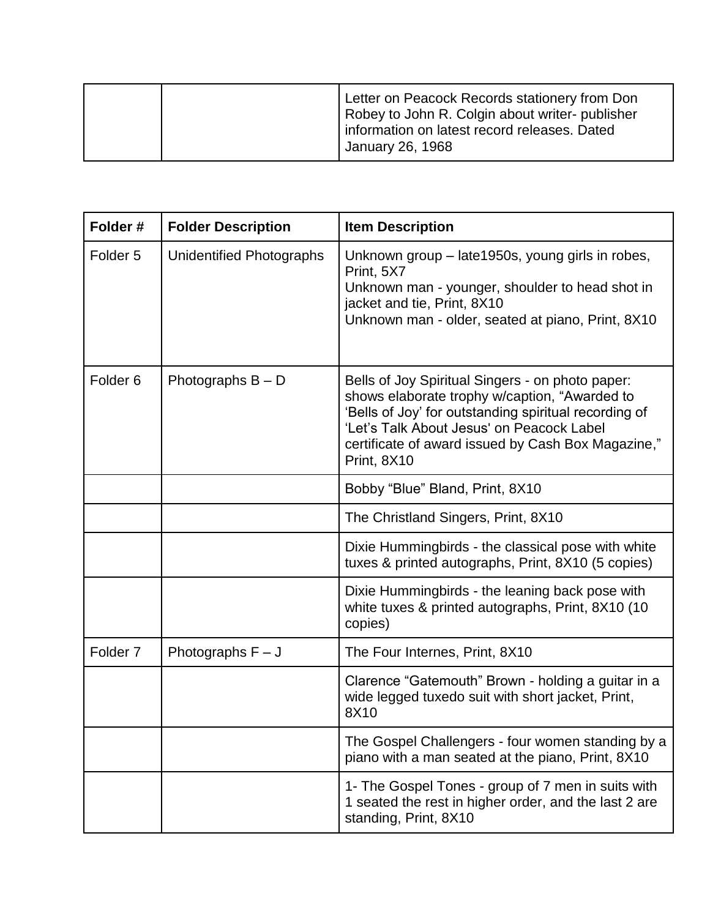|  | Letter on Peacock Records stationery from Don<br>Robey to John R. Colgin about writer- publisher<br>information on latest record releases. Dated<br>January 26, 1968 |
|--|----------------------------------------------------------------------------------------------------------------------------------------------------------------------|
|--|----------------------------------------------------------------------------------------------------------------------------------------------------------------------|

| Folder#             | <b>Folder Description</b> | <b>Item Description</b>                                                                                                                                                                                                                                                      |
|---------------------|---------------------------|------------------------------------------------------------------------------------------------------------------------------------------------------------------------------------------------------------------------------------------------------------------------------|
| Folder <sub>5</sub> | Unidentified Photographs  | Unknown group – late1950s, young girls in robes,<br>Print, 5X7<br>Unknown man - younger, shoulder to head shot in<br>jacket and tie, Print, 8X10<br>Unknown man - older, seated at piano, Print, 8X10                                                                        |
| Folder <sub>6</sub> | Photographs $B - D$       | Bells of Joy Spiritual Singers - on photo paper:<br>shows elaborate trophy w/caption, "Awarded to<br>'Bells of Joy' for outstanding spiritual recording of<br>'Let's Talk About Jesus' on Peacock Label<br>certificate of award issued by Cash Box Magazine,"<br>Print, 8X10 |
|                     |                           | Bobby "Blue" Bland, Print, 8X10                                                                                                                                                                                                                                              |
|                     |                           | The Christland Singers, Print, 8X10                                                                                                                                                                                                                                          |
|                     |                           | Dixie Hummingbirds - the classical pose with white<br>tuxes & printed autographs, Print, 8X10 (5 copies)                                                                                                                                                                     |
|                     |                           | Dixie Hummingbirds - the leaning back pose with<br>white tuxes & printed autographs, Print, 8X10 (10<br>copies)                                                                                                                                                              |
| Folder <sub>7</sub> | Photographs $F - J$       | The Four Internes, Print, 8X10                                                                                                                                                                                                                                               |
|                     |                           | Clarence "Gatemouth" Brown - holding a guitar in a<br>wide legged tuxedo suit with short jacket, Print,<br>8X10                                                                                                                                                              |
|                     |                           | The Gospel Challengers - four women standing by a<br>piano with a man seated at the piano, Print, 8X10                                                                                                                                                                       |
|                     |                           | 1- The Gospel Tones - group of 7 men in suits with<br>1 seated the rest in higher order, and the last 2 are<br>standing, Print, 8X10                                                                                                                                         |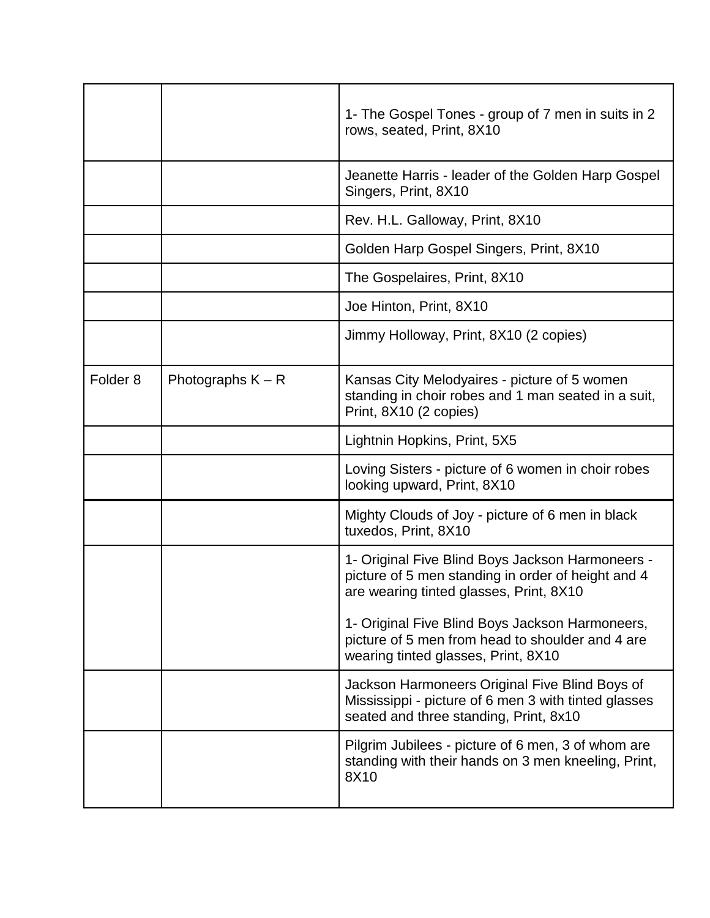|                     |                     | 1- The Gospel Tones - group of 7 men in suits in 2<br>rows, seated, Print, 8X10                                                                   |
|---------------------|---------------------|---------------------------------------------------------------------------------------------------------------------------------------------------|
|                     |                     | Jeanette Harris - leader of the Golden Harp Gospel<br>Singers, Print, 8X10                                                                        |
|                     |                     | Rev. H.L. Galloway, Print, 8X10                                                                                                                   |
|                     |                     | Golden Harp Gospel Singers, Print, 8X10                                                                                                           |
|                     |                     | The Gospelaires, Print, 8X10                                                                                                                      |
|                     |                     | Joe Hinton, Print, 8X10                                                                                                                           |
|                     |                     | Jimmy Holloway, Print, 8X10 (2 copies)                                                                                                            |
| Folder <sub>8</sub> | Photographs $K - R$ | Kansas City Melodyaires - picture of 5 women<br>standing in choir robes and 1 man seated in a suit,<br>Print, 8X10 (2 copies)                     |
|                     |                     | Lightnin Hopkins, Print, 5X5                                                                                                                      |
|                     |                     | Loving Sisters - picture of 6 women in choir robes<br>looking upward, Print, 8X10                                                                 |
|                     |                     | Mighty Clouds of Joy - picture of 6 men in black<br>tuxedos, Print, 8X10                                                                          |
|                     |                     | 1- Original Five Blind Boys Jackson Harmoneers -<br>picture of 5 men standing in order of height and 4<br>are wearing tinted glasses, Print, 8X10 |
|                     |                     | 1- Original Five Blind Boys Jackson Harmoneers,<br>picture of 5 men from head to shoulder and 4 are<br>wearing tinted glasses, Print, 8X10        |
|                     |                     | Jackson Harmoneers Original Five Blind Boys of<br>Mississippi - picture of 6 men 3 with tinted glasses<br>seated and three standing, Print, 8x10  |
|                     |                     | Pilgrim Jubilees - picture of 6 men, 3 of whom are<br>standing with their hands on 3 men kneeling, Print,<br>8X10                                 |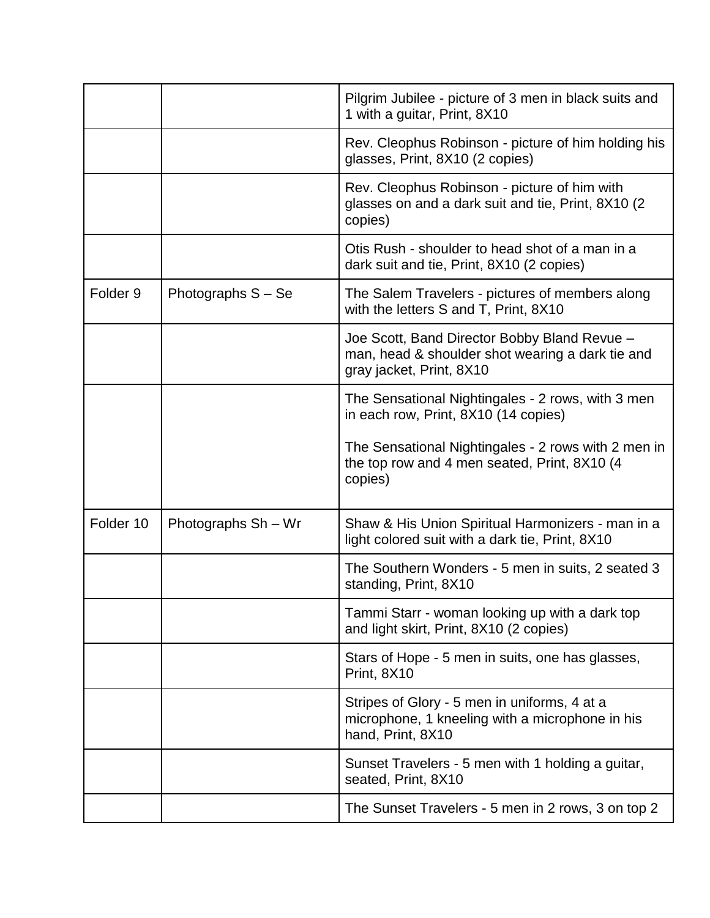|                     |                     | Pilgrim Jubilee - picture of 3 men in black suits and<br>1 with a guitar, Print, 8X10                                        |
|---------------------|---------------------|------------------------------------------------------------------------------------------------------------------------------|
|                     |                     | Rev. Cleophus Robinson - picture of him holding his<br>glasses, Print, 8X10 (2 copies)                                       |
|                     |                     | Rev. Cleophus Robinson - picture of him with<br>glasses on and a dark suit and tie, Print, 8X10 (2)<br>copies)               |
|                     |                     | Otis Rush - shoulder to head shot of a man in a<br>dark suit and tie, Print, 8X10 (2 copies)                                 |
| Folder <sub>9</sub> | Photographs S - Se  | The Salem Travelers - pictures of members along<br>with the letters S and T, Print, 8X10                                     |
|                     |                     | Joe Scott, Band Director Bobby Bland Revue -<br>man, head & shoulder shot wearing a dark tie and<br>gray jacket, Print, 8X10 |
|                     |                     | The Sensational Nightingales - 2 rows, with 3 men<br>in each row, Print, 8X10 (14 copies)                                    |
|                     |                     | The Sensational Nightingales - 2 rows with 2 men in<br>the top row and 4 men seated, Print, 8X10 (4)<br>copies)              |
| Folder 10           | Photographs Sh - Wr | Shaw & His Union Spiritual Harmonizers - man in a<br>light colored suit with a dark tie, Print, 8X10                         |
|                     |                     | The Southern Wonders - 5 men in suits, 2 seated 3<br>standing, Print, 8X10                                                   |
|                     |                     | Tammi Starr - woman looking up with a dark top<br>and light skirt, Print, 8X10 (2 copies)                                    |
|                     |                     | Stars of Hope - 5 men in suits, one has glasses,<br>Print, 8X10                                                              |
|                     |                     | Stripes of Glory - 5 men in uniforms, 4 at a<br>microphone, 1 kneeling with a microphone in his<br>hand, Print, 8X10         |
|                     |                     | Sunset Travelers - 5 men with 1 holding a guitar,<br>seated, Print, 8X10                                                     |
|                     |                     | The Sunset Travelers - 5 men in 2 rows, 3 on top 2                                                                           |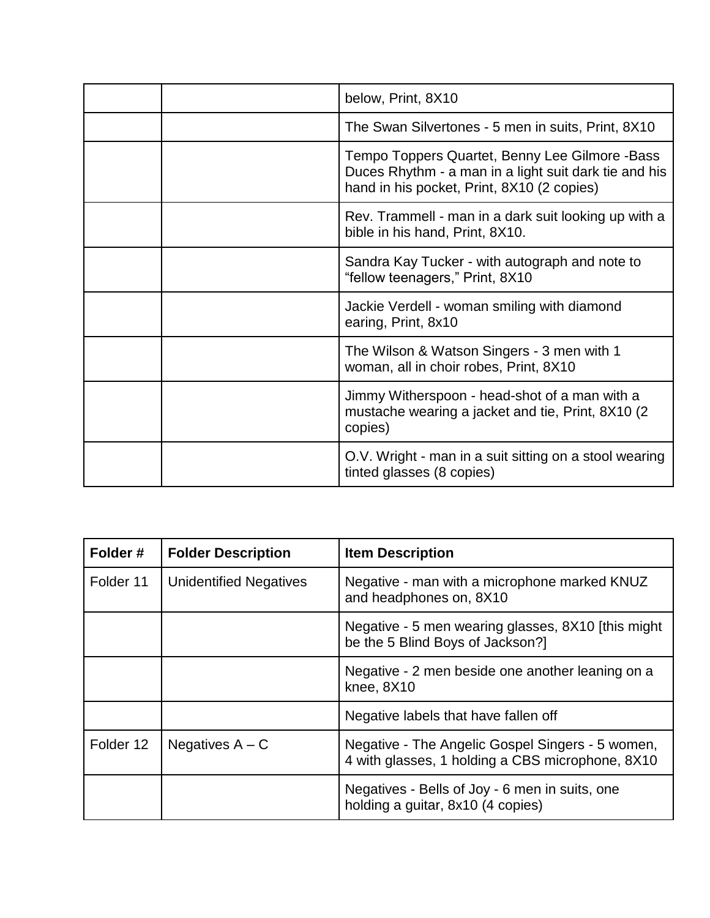| below, Print, 8X10                                                                                                                                    |
|-------------------------------------------------------------------------------------------------------------------------------------------------------|
| The Swan Silvertones - 5 men in suits, Print, 8X10                                                                                                    |
| Tempo Toppers Quartet, Benny Lee Gilmore -Bass<br>Duces Rhythm - a man in a light suit dark tie and his<br>hand in his pocket, Print, 8X10 (2 copies) |
| Rev. Trammell - man in a dark suit looking up with a<br>bible in his hand, Print, 8X10.                                                               |
| Sandra Kay Tucker - with autograph and note to<br>"fellow teenagers," Print, 8X10                                                                     |
| Jackie Verdell - woman smiling with diamond<br>earing, Print, 8x10                                                                                    |
| The Wilson & Watson Singers - 3 men with 1<br>woman, all in choir robes, Print, 8X10                                                                  |
| Jimmy Witherspoon - head-shot of a man with a<br>mustache wearing a jacket and tie, Print, 8X10 (2)<br>copies)                                        |
| O.V. Wright - man in a suit sitting on a stool wearing<br>tinted glasses (8 copies)                                                                   |

| Folder#   | <b>Folder Description</b> | <b>Item Description</b>                                                                              |
|-----------|---------------------------|------------------------------------------------------------------------------------------------------|
| Folder 11 | Unidentified Negatives    | Negative - man with a microphone marked KNUZ<br>and headphones on, 8X10                              |
|           |                           | Negative - 5 men wearing glasses, 8X10 [this might]<br>be the 5 Blind Boys of Jackson?]              |
|           |                           | Negative - 2 men beside one another leaning on a<br>knee, 8X10                                       |
|           |                           | Negative labels that have fallen off                                                                 |
| Folder 12 | Negatives $A - C$         | Negative - The Angelic Gospel Singers - 5 women,<br>4 with glasses, 1 holding a CBS microphone, 8X10 |
|           |                           | Negatives - Bells of Joy - 6 men in suits, one<br>holding a guitar, 8x10 (4 copies)                  |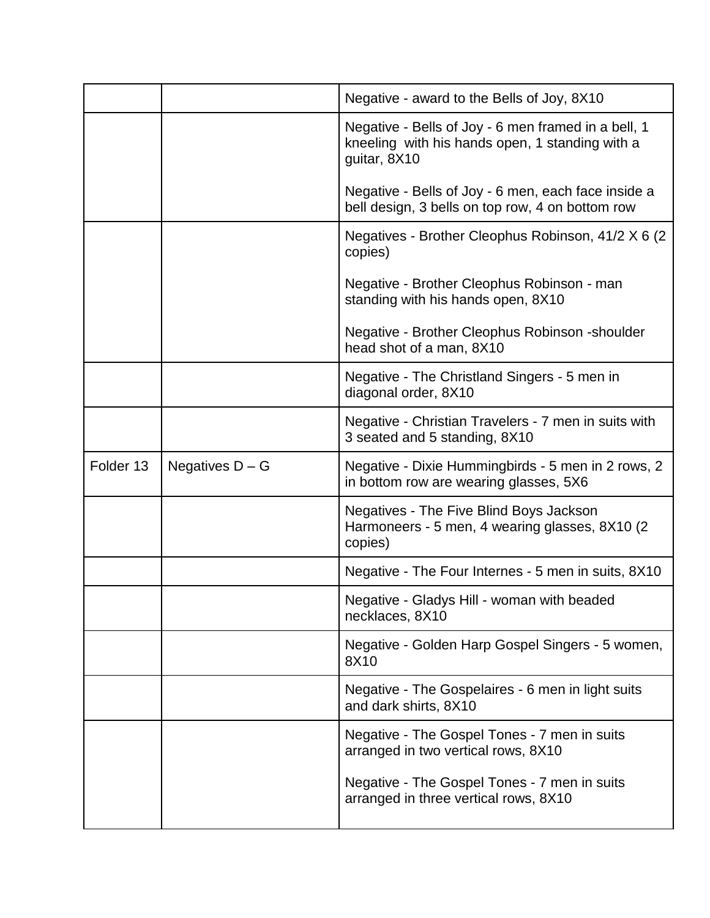|           |                   | Negative - award to the Bells of Joy, 8X10                                                                             |
|-----------|-------------------|------------------------------------------------------------------------------------------------------------------------|
|           |                   | Negative - Bells of Joy - 6 men framed in a bell, 1<br>kneeling with his hands open, 1 standing with a<br>guitar, 8X10 |
|           |                   | Negative - Bells of Joy - 6 men, each face inside a<br>bell design, 3 bells on top row, 4 on bottom row                |
|           |                   | Negatives - Brother Cleophus Robinson, 41/2 X 6 (2)<br>copies)                                                         |
|           |                   | Negative - Brother Cleophus Robinson - man<br>standing with his hands open, 8X10                                       |
|           |                   | Negative - Brother Cleophus Robinson - shoulder<br>head shot of a man, 8X10                                            |
|           |                   | Negative - The Christland Singers - 5 men in<br>diagonal order, 8X10                                                   |
|           |                   | Negative - Christian Travelers - 7 men in suits with<br>3 seated and 5 standing, 8X10                                  |
| Folder 13 | Negatives $D - G$ | Negative - Dixie Hummingbirds - 5 men in 2 rows, 2<br>in bottom row are wearing glasses, 5X6                           |
|           |                   | Negatives - The Five Blind Boys Jackson<br>Harmoneers - 5 men, 4 wearing glasses, 8X10 (2)<br>copies)                  |
|           |                   | Negative - The Four Internes - 5 men in suits, 8X10                                                                    |
|           |                   | Negative - Gladys Hill - woman with beaded<br>necklaces, 8X10                                                          |
|           |                   | Negative - Golden Harp Gospel Singers - 5 women,<br>8X10                                                               |
|           |                   | Negative - The Gospelaires - 6 men in light suits<br>and dark shirts, 8X10                                             |
|           |                   | Negative - The Gospel Tones - 7 men in suits<br>arranged in two vertical rows, 8X10                                    |
|           |                   | Negative - The Gospel Tones - 7 men in suits<br>arranged in three vertical rows, 8X10                                  |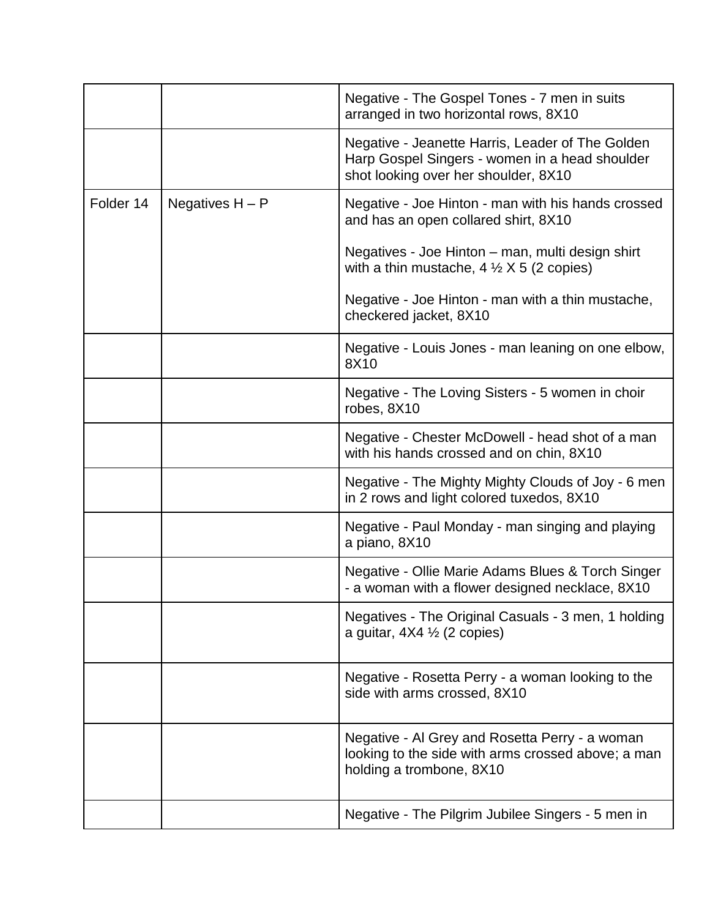|           |                   | Negative - The Gospel Tones - 7 men in suits<br>arranged in two horizontal rows, 8X10                                                      |
|-----------|-------------------|--------------------------------------------------------------------------------------------------------------------------------------------|
|           |                   | Negative - Jeanette Harris, Leader of The Golden<br>Harp Gospel Singers - women in a head shoulder<br>shot looking over her shoulder, 8X10 |
| Folder 14 | Negatives $H - P$ | Negative - Joe Hinton - man with his hands crossed<br>and has an open collared shirt, 8X10                                                 |
|           |                   | Negatives - Joe Hinton – man, multi design shirt<br>with a thin mustache, $4 \frac{1}{2} \times 5$ (2 copies)                              |
|           |                   | Negative - Joe Hinton - man with a thin mustache,<br>checkered jacket, 8X10                                                                |
|           |                   | Negative - Louis Jones - man leaning on one elbow,<br>8X10                                                                                 |
|           |                   | Negative - The Loving Sisters - 5 women in choir<br>robes, 8X10                                                                            |
|           |                   | Negative - Chester McDowell - head shot of a man<br>with his hands crossed and on chin, 8X10                                               |
|           |                   | Negative - The Mighty Mighty Clouds of Joy - 6 men<br>in 2 rows and light colored tuxedos, 8X10                                            |
|           |                   | Negative - Paul Monday - man singing and playing<br>a piano, 8X10                                                                          |
|           |                   | Negative - Ollie Marie Adams Blues & Torch Singer<br>- a woman with a flower designed necklace, 8X10                                       |
|           |                   | Negatives - The Original Casuals - 3 men, 1 holding<br>a guitar, $4X4 \frac{1}{2}$ (2 copies)                                              |
|           |                   | Negative - Rosetta Perry - a woman looking to the<br>side with arms crossed, 8X10                                                          |
|           |                   | Negative - Al Grey and Rosetta Perry - a woman<br>looking to the side with arms crossed above; a man<br>holding a trombone, 8X10           |
|           |                   | Negative - The Pilgrim Jubilee Singers - 5 men in                                                                                          |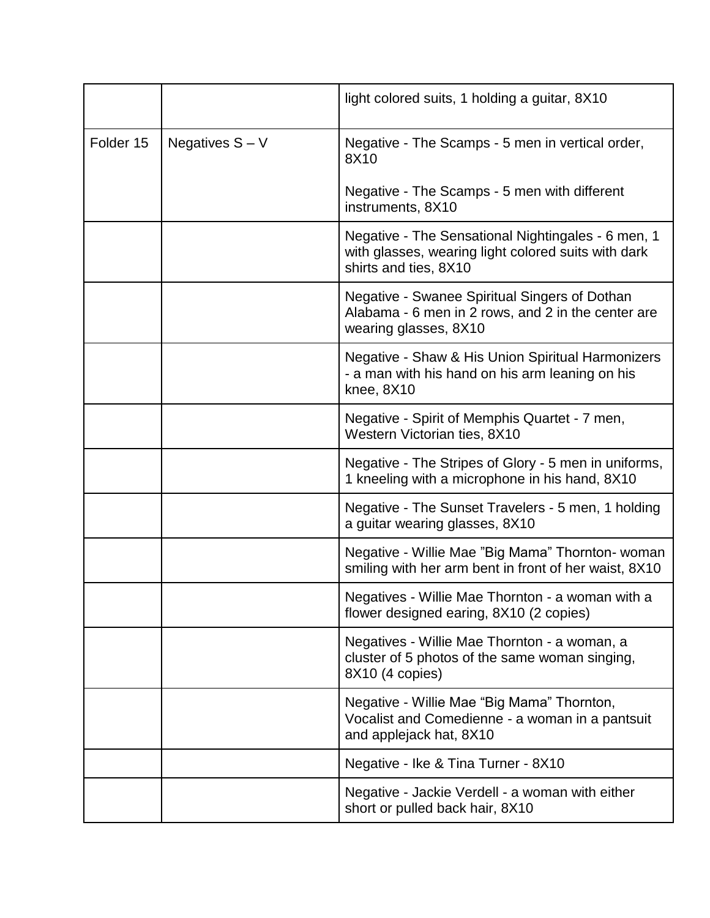|           |                   | light colored suits, 1 holding a guitar, 8X10                                                                                      |
|-----------|-------------------|------------------------------------------------------------------------------------------------------------------------------------|
| Folder 15 | Negatives $S - V$ | Negative - The Scamps - 5 men in vertical order,<br>8X10                                                                           |
|           |                   | Negative - The Scamps - 5 men with different<br>instruments, 8X10                                                                  |
|           |                   | Negative - The Sensational Nightingales - 6 men, 1<br>with glasses, wearing light colored suits with dark<br>shirts and ties, 8X10 |
|           |                   | Negative - Swanee Spiritual Singers of Dothan<br>Alabama - 6 men in 2 rows, and 2 in the center are<br>wearing glasses, 8X10       |
|           |                   | Negative - Shaw & His Union Spiritual Harmonizers<br>- a man with his hand on his arm leaning on his<br>knee, 8X10                 |
|           |                   | Negative - Spirit of Memphis Quartet - 7 men,<br>Western Victorian ties, 8X10                                                      |
|           |                   | Negative - The Stripes of Glory - 5 men in uniforms,<br>1 kneeling with a microphone in his hand, 8X10                             |
|           |                   | Negative - The Sunset Travelers - 5 men, 1 holding<br>a guitar wearing glasses, 8X10                                               |
|           |                   | Negative - Willie Mae "Big Mama" Thornton- woman<br>smiling with her arm bent in front of her waist, 8X10                          |
|           |                   | Negatives - Willie Mae Thornton - a woman with a<br>flower designed earing, 8X10 (2 copies)                                        |
|           |                   | Negatives - Willie Mae Thornton - a woman, a<br>cluster of 5 photos of the same woman singing,<br>8X10 (4 copies)                  |
|           |                   | Negative - Willie Mae "Big Mama" Thornton,<br>Vocalist and Comedienne - a woman in a pantsuit<br>and applejack hat, 8X10           |
|           |                   | Negative - Ike & Tina Turner - 8X10                                                                                                |
|           |                   | Negative - Jackie Verdell - a woman with either<br>short or pulled back hair, 8X10                                                 |